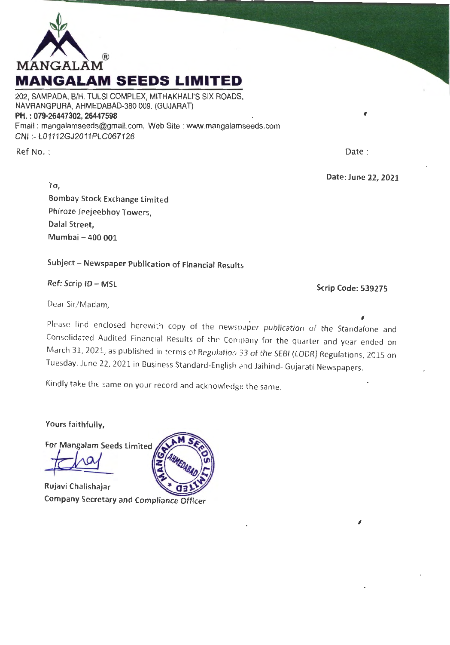

202, SAMPADA, B/H. TULSI COMPLEX, MITHAKHALl'S SIX ROADS, NAVRANGPURA, AHMEDABAD-380 009. (GUJARAT) PH.: 079-26447302, 26447598 Email : mangalamseeds@gmail.com, Web Site : www.mangalamseeds.com CNI :- L01112GJ201 1PLC067128

Ref No. :

Date :

Date: June 22, 2021

 $^{\prime}$ 

To, Bombay Stock Exchange Limited Phiroze Jeejeebhoy Towers, Dalal Street, Mumbai - 400 001

Subject - Newspaper Publication of Financial Results

Ref: Scrip ID - MSL

Scrip Code: 539275

 $^{\prime}$ 

Dear Sir/Madam,

Please find enclosed herewith copy of the newspaper publication of the Standalone and Consolidated Audited Financial Results of the Company for the quarter and year ended on March 31, 2021, as published in terms of Regulation 33 of the SEBI (LODR} Regulations, 2015 on Tuesday, June 22, 2021 in Business Standard-English and Jaihind- Gujarati Newspapers.

Kindly take the same on your record and acknowledge the same.

Yours faithfully,

For Mangalam Seeds Limited

Rujavi Chalishajar Company Secretary and Compliance Officer